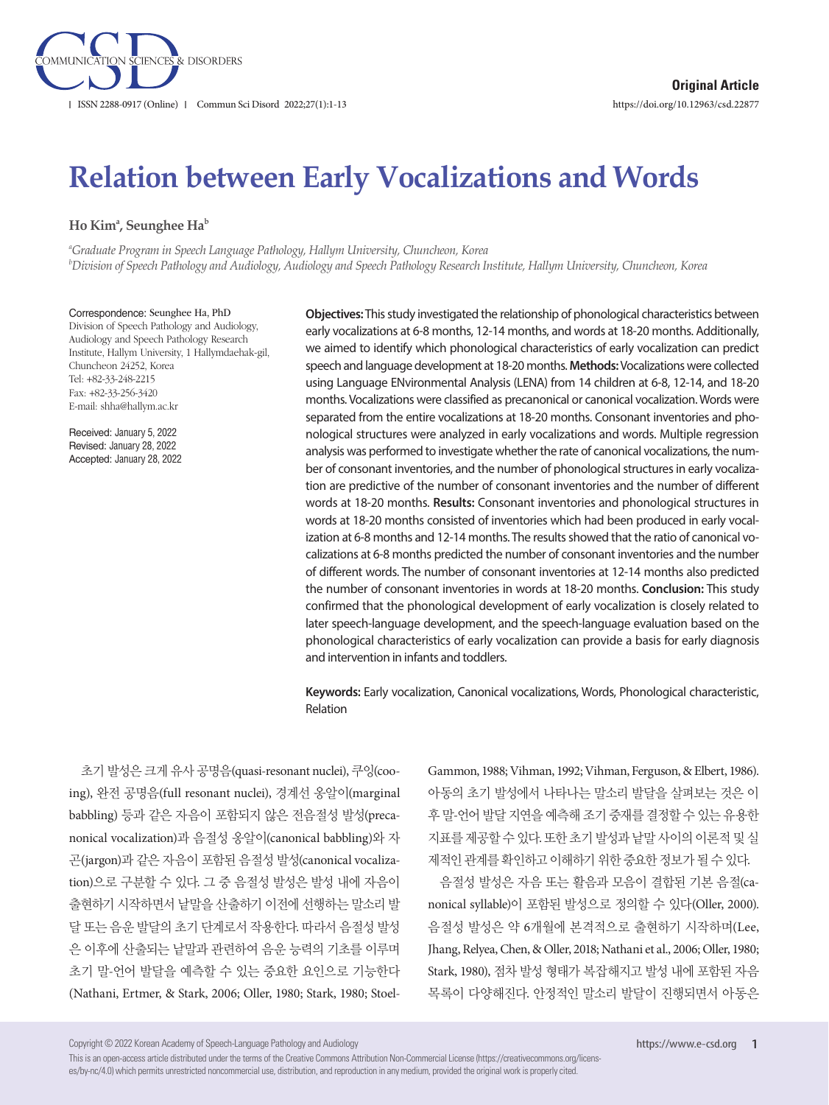

# **Relation between Early Vocalizations and Words**

 $\mathbf{H}$ o Kimª, Seunghee Ha $^\mathrm{b}$ 

*a Graduate Program in Speech Language Pathology, Hallym University, Chuncheon, Korea b Division of Speech Pathology and Audiology, Audiology and Speech Pathology Research Institute, Hallym University, Chuncheon, Korea*

Correspondence: Seunghee Ha, PhD Division of Speech Pathology and Audiology, Audiology and Speech Pathology Research Institute, Hallym University, 1 Hallymdaehak-gil, Chuncheon 24252, Korea Tel: +82-33-248-2215 Fax: +82-33-256-3420 E-mail: shha@hallym.ac.kr

Received: January 5, 2022 Revised: January 28, 2022 Accepted: January 28, 2022

**Objectives:** This study investigated the relationship of phonological characteristics between early vocalizations at 6-8 months, 12-14 months, and words at 18-20 months. Additionally, we aimed to identify which phonological characteristics of early vocalization can predict speech and language development at 18-20 months. **Methods:** Vocalizations were collected using Language ENvironmental Analysis (LENA) from 14 children at 6-8, 12-14, and 18-20 months. Vocalizations were classified as precanonical or canonical vocalization. Words were separated from the entire vocalizations at 18-20 months. Consonant inventories and phonological structures were analyzed in early vocalizations and words. Multiple regression analysis was performed to investigate whether the rate of canonical vocalizations, the number of consonant inventories, and the number of phonological structures in early vocalization are predictive of the number of consonant inventories and the number of different words at 18-20 months. **Results:** Consonant inventories and phonological structures in words at 18-20 months consisted of inventories which had been produced in early vocalization at 6-8 months and 12-14 months. The results showed that the ratio of canonical vocalizations at 6-8 months predicted the number of consonant inventories and the number of different words. The number of consonant inventories at 12-14 months also predicted the number of consonant inventories in words at 18-20 months. **Conclusion:** This study confirmed that the phonological development of early vocalization is closely related to later speech-language development, and the speech-language evaluation based on the phonological characteristics of early vocalization can provide a basis for early diagnosis and intervention in infants and toddlers.

**Keywords:** Early vocalization, Canonical vocalizations, Words, Phonological characteristic, Relation

초기 발성은 크게 유사 공명음(quasi-resonant nuclei), 쿠잉(cooing), 완전 공명음(full resonant nuclei), 경계선 옹알이(marginal babbling) 등과 같은 자음이 포함되지 않은 전음절성 발성(precanonical vocalization)과 음절성 옹알이(canonical babbling)와 자 곤(jargon)과 같은 자음이 포함된 음절성 발성(canonical vocalization)으로 구분할 수 있다. 그 중 음절성 발성은 발성 내에 자음이 출현하기 시작하면서 낱말을 산출하기 이전에 선행하는 말소리 발 달 또는 음운 발달의 초기 단계로서 작용한다. 따라서 음절성 발성 은 이후에 산출되는 낱말과 관련하여 음운 능력의 기초를 이루며 초기 말-언어 발달을 예측할 수 있는 중요한 요인으로 기능한다 (Nathani, Ertmer, & Stark, 2006; Oller, 1980; Stark, 1980; StoelGammon, 1988; Vihman, 1992; Vihman, Ferguson, & Elbert, 1986). 아동의 초기 발성에서 나타나는 말소리 발달을 살펴보는 것은 이 후 말-언어 발달 지연을 예측해 조기 중재를 결정할 수 있는 유용한 지표를 제공할 수 있다. 또한 초기 발성과 낱말 사이의 이론적 및 실 제적인관계를확인하고이해하기위한중요한정보가될수있다.

음절성 발성은 자음 또는 활음과 모음이 결합된 기본 음절(canonical syllable)이 포함된 발성으로 정의할 수 있다(Oller, 2000). 음절성 발성은 약 6개월에 본격적으로 출현하기 시작하며(Lee, Jhang, Relyea, Chen, & Oller, 2018; Nathani et al., 2006; Oller, 1980; Stark, 1980), 점차 발성 형태가 복잡해지고 발성 내에 포함된 자음 목록이 다양해진다. 안정적인 말소리 발달이 진행되면서 아동은

Copyright © 2022 Korean Academy of Speech-Language Pathology and Audiology

This is an open-access article distributed under the terms of the Creative Commons Attribution Non-Commercial License (https://creativecommons.org/licenses/by-nc/4.0) which permits unrestricted noncommercial use, distribution, and reproduction in any medium, provided the original work is properly cited.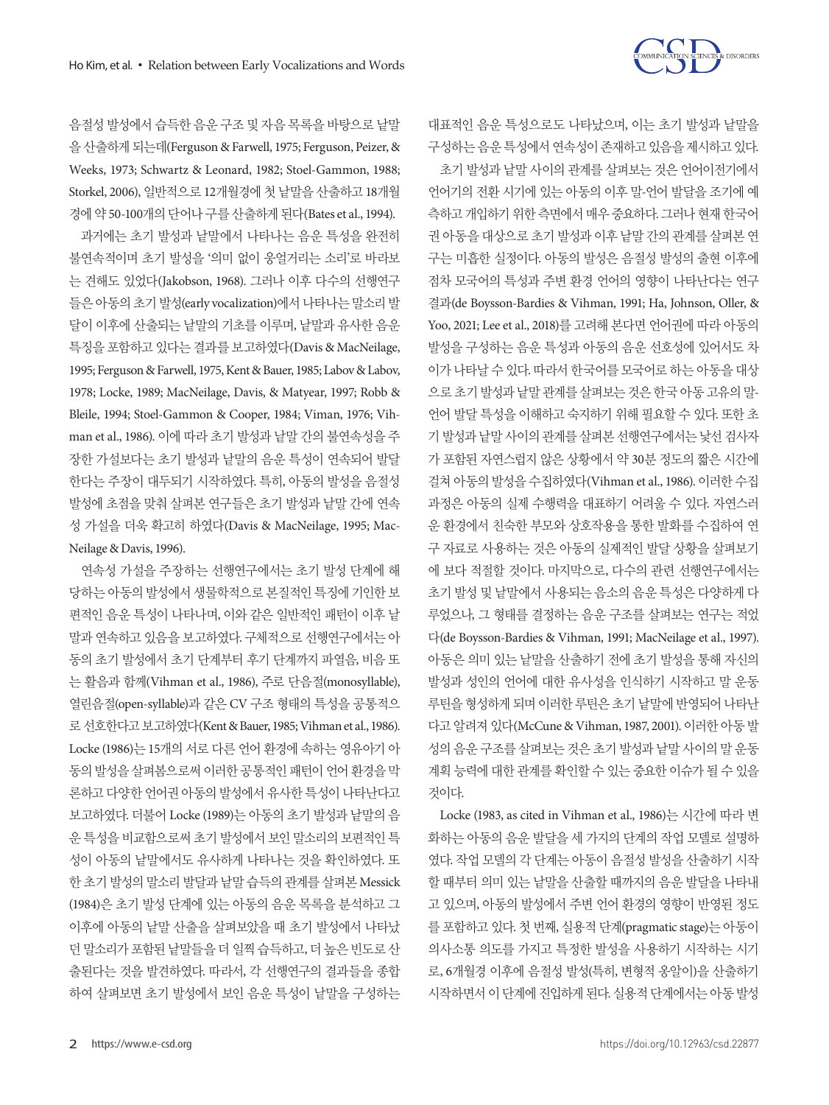

음절성 발성에서 습득한 음운 구조 및 자음 목록을 바탕으로 낱말 을산출하게되는데(Ferguson & Farwell, 1975; Ferguson, Peizer, & Weeks, 1973; Schwartz & Leonard, 1982; Stoel-Gammon, 1988; Storkel, 2006), 일반적으로 12개월경에 첫 낱말을 산출하고 18개월 경에 약 50-100개의 단어나 구를 산출하게 된다(Bates et al., 1994).

과거에는 초기 발성과 낱말에서 나타나는 음운 특성을 완전히 불연속적이며 초기 발성을 '의미 없이 웅얼거리는 소리'로 바라보 는 견해도 있었다(Jakobson, 1968). 그러나 이후 다수의 선행연구 들은아동의초기발성(early vocalization)에서나타나는말소리발 달이 이후에 산출되는 낱말의 기초를 이루며, 낱말과 유사한 음운 특징을 포함하고 있다는 결과를 보고하였다(Davis & MacNeilage, 1995; Ferguson & Farwell, 1975, Kent & Bauer, 1985; Labov & Labov, 1978; Locke, 1989; MacNeilage, Davis, & Matyear, 1997; Robb & Bleile, 1994; Stoel-Gammon & Cooper, 1984; Viman, 1976; Vihman et al., 1986). 이에 따라 초기 발성과 낱말 간의 불연속성을 주 장한 가설보다는 초기 발성과 낱말의 음운 특성이 연속되어 발달 한다는 주장이 대두되기 시작하였다. 특히, 아동의 발성을 음절성 발성에 초점을 맞춰 살펴본 연구들은 초기 발성과 낱말 간에 연속 성 가설을 더욱 확고히 하였다(Davis & MacNeilage, 1995; Mac-Neilage & Davis, 1996).

연속성 가설을 주장하는 선행연구에서는 초기 발성 단계에 해 당하는 아동의 발성에서 생물학적으로 본질적인 특징에 기인한 보 편적인 음운 특성이 나타나며, 이와 같은 일반적인 패턴이 이후 낱 말과 연속하고 있음을 보고하였다. 구체적으로 선행연구에서는 아 동의 초기 발성에서 초기 단계부터 후기 단계까지 파열음, 비음 또 는 활음과 함께(Vihman et al., 1986), 주로 단음절(monosyllable), 열린음절(open-syllable)과 같은 CV 구조 형태의 특성을 공통적으 로선호한다고보고하였다(Kent & Bauer, 1985; Vihman et al., 1986). Locke (1986)는 15개의 서로 다른 언어 환경에 속하는 영유아기 아 동의 발성을 살펴봄으로써 이러한 공통적인 패턴이 언어 환경을 막 론하고 다양한 언어권 아동의 발성에서 유사한 특성이 나타난다고 보고하였다. 더불어 Locke (1989)는 아동의 초기 발성과 낱말의 음 운 특성을 비교함으로써 초기 발성에서 보인 말소리의 보편적인 특 성이 아동의 낱말에서도 유사하게 나타나는 것을 확인하였다. 또 한 초기 발성의 말소리 발달과 낱말 습득의 관계를 살펴본 Messick (1984)은 초기 발성 단계에 있는 아동의 음운 목록을 분석하고 그 이후에 아동의 낱말 산출을 살펴보았을 때 초기 발성에서 나타났 던 말소리가 포함된 낱말들을 더 일찍 습득하고, 더 높은 빈도로 산 출된다는 것을 발견하였다. 따라서, 각 선행연구의 결과들을 종합 하여 살펴보면 초기 발성에서 보인 음운 특성이 낱말을 구성하는

대표적인 음운 특성으로도 나타났으며, 이는 초기 발성과 낱말을 구성하는 음운 특성에서 연속성이 존재하고 있음을 제시하고 있다. 초기 발성과 낱말 사이의 관계를 살펴보는 것은 언어이전기에서 언어기의 전환 시기에 있는 아동의 이후 말-언어 발달을 조기에 예 측하고 개입하기 위한 측면에서 매우 중요하다. 그러나 현재 한국어 권 아동을 대상으로 초기 발성과 이후 낱말 간의 관계를 살펴본 연 구는 미흡한 실정이다. 아동의 발성은 음절성 발성의 출현 이후에 점차 모국어의 특성과 주변 환경 언어의 영향이 나타난다는 연구 결과(de Boysson-Bardies & Vihman, 1991; Ha, Johnson, Oller, & Yoo, 2021; Lee et al., 2018)를 고려해 본다면 언어권에 따라 아동의 발성을 구성하는 음운 특성과 아동의 음운 선호성에 있어서도 차 이가 나타날 수 있다. 따라서 한국어를 모국어로 하는 아동을 대상 으로초기발성과낱말관계를살펴보는것은한국아동고유의말-언어 발달 특성을 이해하고 숙지하기 위해 필요할 수 있다. 또한 초 기 발성과 낱말 사이의 관계를 살펴본 선행연구에서는 낯선 검사자 가 포함된 자연스럽지 않은 상황에서 약 30분 정도의 짧은 시간에 걸쳐 아동의 발성을 수집하였다(Vihman et al., 1986). 이러한 수집 과정은 아동의 실제 수행력을 대표하기 어려울 수 있다. 자연스러 운 환경에서 친숙한 부모와 상호작용을 통한 발화를 수집하여 연 구 자료로 사용하는 것은 아동의 실제적인 발달 상황을 살펴보기 에 보다 적절할 것이다. 마지막으로, 다수의 관련 선행연구에서는 초기 발성 및 낱말에서 사용되는 음소의 음운 특성은 다양하게 다 루었으나, 그 형태를 결정하는 음운 구조를 살펴보는 연구는 적었 다(de Boysson-Bardies & Vihman, 1991; MacNeilage et al., 1997). 아동은 의미 있는 낱말을 산출하기 전에 초기 발성을 통해 자신의 발성과 성인의 언어에 대한 유사성을 인식하기 시작하고 말 운동 루틴을 형성하게 되며 이러한 루틴은 초기 낱말에 반영되어 나타난 다고 알려져 있다(McCune & Vihman, 1987, 2001). 이러한 아동 발 성의 음운 구조를 살펴보는 것은 초기 발성과 낱말 사이의 말 운동 계획 능력에 대한 관계를 확인할 수 있는 중요한 이슈가 될 수 있을 것이다.

Locke (1983, as cited in Vihman et al., 1986)는 시간에 따라 변 화하는 아동의 음운 발달을 세 가지의 단계의 작업 모델로 설명하 였다. 작업 모델의 각 단계는 아동이 음절성 발성을 산출하기 시작 할 때부터 의미 있는 낱말을 산출할 때까지의 음운 발달을 나타내 고 있으며, 아동의 발성에서 주변 언어 환경의 영향이 반영된 정도 를 포함하고 있다. 첫 번째, 실용적 단계(pragmatic stage)는 아동이 의사소통 의도를 가지고 특정한 발성을 사용하기 시작하는 시기 로, 6개월경 이후에 음절성 발성(특히, 변형적 옹알이)을 산출하기 시작하면서 이 단계에 진입하게 된다. 실용적 단계에서는 아동 발성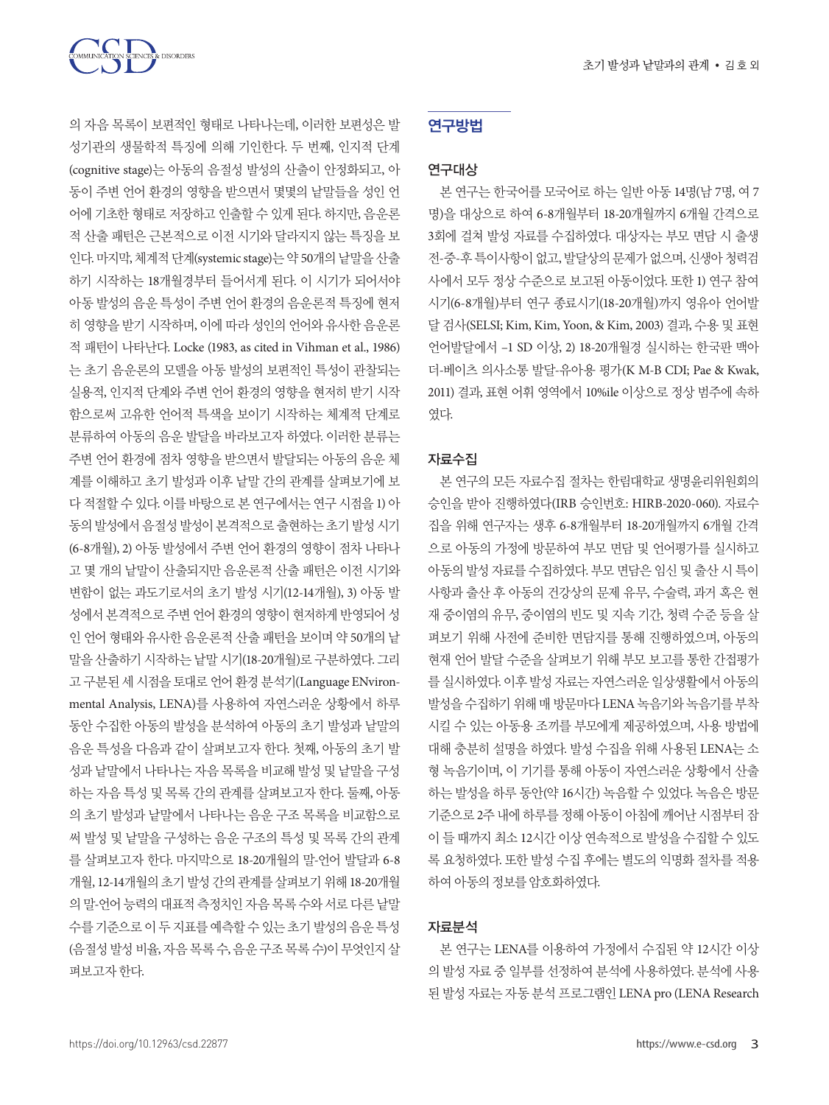

의 자음 목록이 보편적인 형태로 나타나는데, 이러한 보편성은 발 성기관의 생물학적 특징에 의해 기인한다. 두 번째, 인지적 단계 (cognitive stage)는 아동의 음절성 발성의 산출이 안정화되고, 아 동이 주변 언어 환경의 영향을 받으면서 몇몇의 낱말들을 성인 언 어에 기초한 형태로 저장하고 인출할 수 있게 된다. 하지만, 음운론 적 산출 패턴은 근본적으로 이전 시기와 달라지지 않는 특징을 보 인다. 마지막, 체계적 단계(systemic stage)는 약 50개의 낱말을 산출 하기 시작하는 18개월경부터 들어서게 된다. 이 시기가 되어서야 아동 발성의 음운 특성이 주변 언어 환경의 음운론적 특징에 현저 히 영향을 받기 시작하며, 이에 따라 성인의 언어와 유사한 음운론 적 패턴이 나타난다. Locke (1983, as cited in Vihman et al., 1986) 는 초기 음운론의 모델을 아동 발성의 보편적인 특성이 관찰되는 실용적, 인지적 단계와 주변 언어 환경의 영향을 현저히 받기 시작 함으로써 고유한 언어적 특색을 보이기 시작하는 체계적 단계로 분류하여 아동의 음운 발달을 바라보고자 하였다. 이러한 분류는 주변 언어 환경에 점차 영향을 받으면서 발달되는 아동의 음운 체 계를 이해하고 초기 발성과 이후 낱말 간의 관계를 살펴보기에 보 다 적절할 수 있다. 이를 바탕으로 본 연구에서는 연구 시점을 1) 아 동의발성에서음절성발성이본격적으로출현하는초기발성시기 (6-8개월), 2) 아동 발성에서 주변 언어 환경의 영향이 점차 나타나 고 몇 개의 낱말이 산출되지만 음운론적 산출 패턴은 이전 시기와 변함이 없는 과도기로서의 초기 발성 시기(12-14개월), 3) 아동 발 성에서 본격적으로 주변 언어 환경의 영향이 현저하게 반영되어 성 인 언어 형태와 유사한 음운론적 산출 패턴을 보이며 약 50개의 낱 말을 산출하기 시작하는 낱말 시기(18-20개월)로 구분하였다. 그리 고 구분된 세 시점을 토대로 언어 환경 분석기(Language ENvironmental Analysis, LENA)를 사용하여 자연스러운 상황에서 하루 동안 수집한 아동의 발성을 분석하여 아동의 초기 발성과 낱말의 음운 특성을 다음과 같이 살펴보고자 한다. 첫째, 아동의 초기 발 성과 낱말에서 나타나는 자음 목록을 비교해 발성 및 낱말을 구성 하는 자음 특성 및 목록 간의 관계를 살펴보고자 한다. 둘째, 아동 의 초기 발성과 낱말에서 나타나는 음운 구조 목록을 비교함으로 써 발성 및 낱말을 구성하는 음운 구조의 특성 및 목록 간의 관계 를 살펴보고자 한다. 마지막으로 18-20개월의 말-언어 발달과 6-8 개월, 12-14개월의초기 발성간의 관계를살펴보기위해 18-20개월 의 말-언어 능력의 대표적 측정치인 자음 목록 수와 서로 다른 낱말 수를기준으로이 두 지표를 예측할 수 있는 초기 발성의 음운 특성 (음절성 발성 비율, 자음 목록 수, 음운 구조 목록 수)이 무엇인지 살 펴보고자한다.

## 연구방법

#### 연구대상

본 연구는 한국어를 모국어로 하는 일반 아동 14명(남 7명, 여 7 명)을 대상으로 하여 6-8개월부터 18-20개월까지 6개월 간격으로 3회에 걸쳐 발성 자료를 수집하였다. 대상자는 부모 면담 시 출생 전-중-후 특이사항이 없고, 발달상의 문제가 없으며, 신생아 청력검 사에서 모두 정상 수준으로 보고된 아동이었다. 또한 1) 연구 참여 시기(6-8개월)부터 연구 종료시기(18-20개월)까지 영유아 언어발 달 검사(SELSI; Kim, Kim, Yoon, & Kim, 2003) 결과, 수용 및 표현 언어발달에서 –1 SD 이상, 2) 18-20개월경 실시하는 한국판 맥아 더-베이츠 의사소통 발달-유아용 평가(K M-B CDI; Pae & Kwak, 2011) 결과, 표현 어휘 영역에서 10%ile 이상으로 정상 범주에 속하 였다.

#### 자료수집

본 연구의 모든 자료수집 절차는 한림대학교 생명윤리위원회의 승인을 받아 진행하였다(IRB 승인번호: HIRB-2020-060). 자료수 집을 위해 연구자는 생후 6-8개월부터 18-20개월까지 6개월 간격 으로 아동의 가정에 방문하여 부모 면담 및 언어평가를 실시하고 아동의 발성 자료를 수집하였다. 부모 면담은 임신 및 출산 시 특이 사항과 출산 후 아동의 건강상의 문제 유무, 수술력, 과거 혹은 현 재 중이염의 유무, 중이염의 빈도 및 지속 기간, 청력 수준 등을 살 펴보기 위해 사전에 준비한 면담지를 통해 진행하였으며, 아동의 현재 언어 발달 수준을 살펴보기 위해 부모 보고를 통한 간접평가 를 실시하였다. 이후 발성 자료는 자연스러운 일상생활에서 아동의 발성을 수집하기 위해 매 방문마다 LENA 녹음기와 녹음기를 부착 시킬 수 있는 아동용 조끼를 부모에게 제공하였으며, 사용 방법에 대해 충분히 설명을 하였다. 발성 수집을 위해 사용된 LENA는 소 형 녹음기이며, 이 기기를 통해 아동이 자연스러운 상황에서 산출 하는 발성을 하루 동안(약 16시간) 녹음할 수 있었다. 녹음은 방문 기준으로 2주 내에 하루를 정해 아동이 아침에 깨어난 시점부터 잠 이 들 때까지 최소 12시간 이상 연속적으로 발성을 수집할 수 있도 록 요청하였다. 또한 발성 수집 후에는 별도의 익명화 절차를 적용 하여아동의정보를암호화하였다.

#### 자료분석

본 연구는 LENA를 이용하여 가정에서 수집된 약 12시간 이상 의 발성 자료 중 일부를 선정하여 분석에 사용하였다. 분석에 사용 된 발성 자료는 자동 분석 프로그램인 LENA pro (LENA Research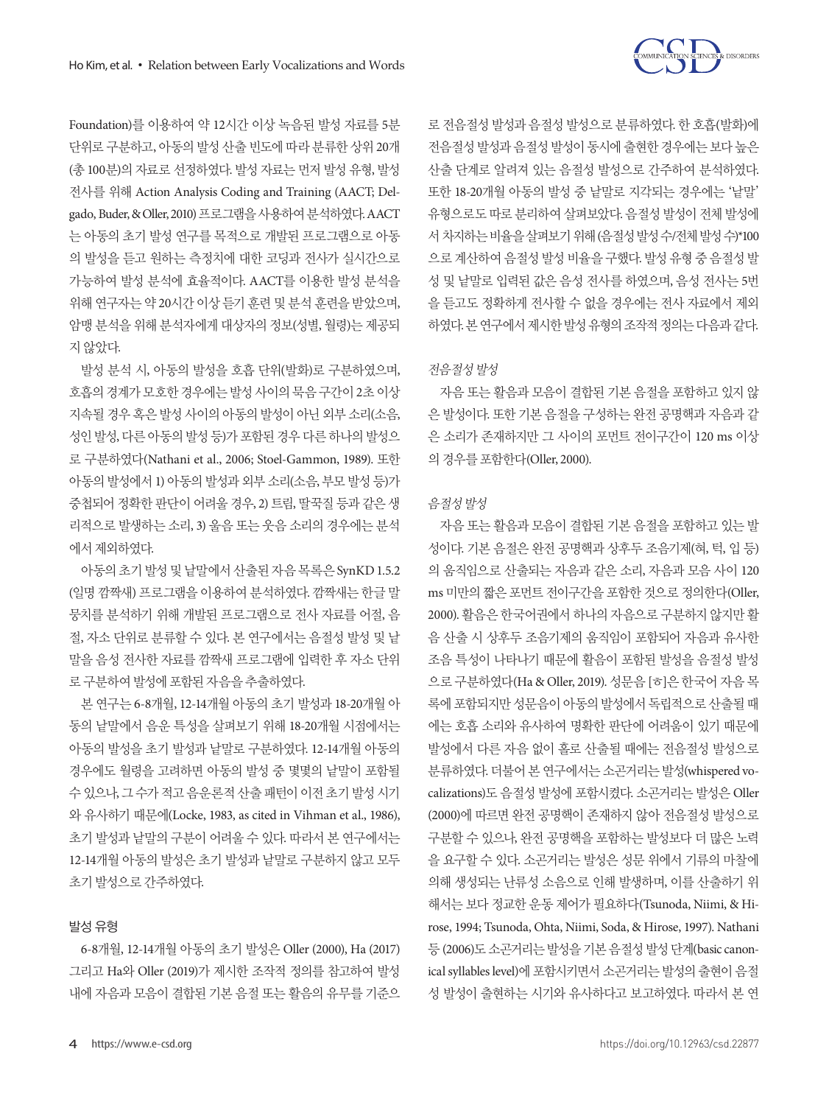

Foundation)를 이용하여 약 12시간 이상 녹음된 발성 자료를 5분 단위로 구분하고, 아동의 발성 산출 빈도에 따라 분류한 상위 20개 (총 100분)의 자료로 선정하였다. 발성 자료는 먼저 발성 유형, 발성 전사를 위해 Action Analysis Coding and Training (AACT; Delgado, Buder, & Oller, 2010) 프로그램을사용하여분석하였다. AACT 는 아동의 초기 발성 연구를 목적으로 개발된 프로그램으로 아동 의 발성을 듣고 원하는 측정치에 대한 코딩과 전사가 실시간으로 가능하여 발성 분석에 효율적이다. AACT를 이용한 발성 분석을 위해 연구자는 약 20시간 이상 듣기 훈련 및 분석 훈련을 받았으며, 암맹 분석을 위해 분석자에게 대상자의 정보(성별, 월령)는 제공되 지않았다.

발성 분석 시, 아동의 발성을 호흡 단위(발화)로 구분하였으며, 호흡의경계가모호한경우에는발성사이의묵음구간이 2초이상 지속될 경우 혹은 발성 사이의 아동의 발성이 아닌 외부 소리(소음, 성인 발성, 다른 아동의 발성 등)가 포함된 경우 다른 하나의 발성으 로 구분하였다(Nathani et al., 2006; Stoel-Gammon, 1989). 또한 아동의 발성에서 1) 아동의 발성과 외부 소리(소음, 부모 발성 등)가 중첩되어 정확한 판단이 어려울 경우, 2) 트림, 딸꾹질 등과 같은 생 리적으로 발생하는 소리, 3) 울음 또는 웃음 소리의 경우에는 분석 에서 제외하였다.

아동의초기발성및낱말에서산출된자음목록은 SynKD 1.5.2 (일명 깜짝새) 프로그램을 이용하여 분석하였다. 깜짝새는 한글 말 뭉치를 분석하기 위해 개발된 프로그램으로 전사 자료를 어절, 음 절, 자소 단위로 분류할 수 있다. 본 연구에서는 음절성 발성 및 낱 말을 음성 전사한 자료를 깜짝새 프로그램에 입력한 후 자소 단위 로구분하여발성에포함된자음을추출하였다.

본 연구는 6-8개월, 12-14개월 아동의 초기 발성과 18-20개월 아 동의 낱말에서 음운 특성을 살펴보기 위해 18-20개월 시점에서는 아동의 발성을 초기 발성과 낱말로 구분하였다. 12-14개월 아동의 경우에도 월령을 고려하면 아동의 발성 중 몇몇의 낱말이 포함될 수 있으나, 그 수가 적고 음운론적 산출 패턴이 이전 초기 발성 시기 와 유사하기 때문에(Locke, 1983, as cited in Vihman et al., 1986), 초기 발성과 낱말의 구분이 어려울 수 있다. 따라서 본 연구에서는 12-14개월 아동의 발성은 초기 발성과 낱말로 구분하지 않고 모두 초기발성으로간주하였다.

#### 발성 유형

6-8개월, 12-14개월 아동의 초기 발성은 Oller (2000), Ha (2017) 그리고 Ha와 Oller (2019)가 제시한 조작적 정의를 참고하여 발성 내에 자음과 모음이 결합된 기본 음절 또는 활음의 유무를 기준으 로 전음절성 발성과 음절성 발성으로 분류하였다. 한 호흡(발화)에 전음절성 발성과 음절성 발성이 동시에 출현한 경우에는 보다 높은 산출 단계로 알려져 있는 음절성 발성으로 간주하여 분석하였다. 또한 18-20개월 아동의 발성 중 낱말로 지각되는 경우에는 '낱말' 유형으로도 따로 분리하여 살펴보았다. 음절성 발성이 전체 발성에 서 차지하는비율을살펴보기위해 (음절성발성수/전체발성수)\*100 으로 계산하여 음절성 발성 비율을 구했다. 발성 유형 중 음절성 발 성 및 낱말로 입력된 값은 음성 전사를 하였으며, 음성 전사는 5번 을 듣고도 정확하게 전사할 수 없을 경우에는 전사 자료에서 제외 하였다. 본 연구에서 제시한 발성 유형의 조작적 정의는 다음과 같다.

## 전음절성발성

자음 또는 활음과 모음이 결합된 기본 음절을 포함하고 있지 않 은 발성이다. 또한 기본 음절을 구성하는 완전 공명핵과 자음과 같 은 소리가 존재하지만 그 사이의 포먼트 전이구간이 120 ms 이상 의경우를포함한다(Oller, 2000).

#### 음절성발성

자음 또는 활음과 모음이 결합된 기본 음절을 포함하고 있는 발 성이다. 기본 음절은 완전 공명핵과 상후두 조음기제(혀, 턱, 입 등) 의 움직임으로 산출되는 자음과 같은 소리, 자음과 모음 사이 120 ms 미만의 짧은 포먼트 전이구간을 포함한 것으로 정의한다(Oller, 2000). 활음은 한국어권에서 하나의 자음으로 구분하지 않지만 활 음 산출 시 상후두 조음기제의 움직임이 포함되어 자음과 유사한 조음 특성이 나타나기 때문에 활음이 포함된 발성을 음절성 발성 으로 구분하였다(Ha & Oller, 2019). 성문음 [ㅎ]은 한국어 자음 목 록에포함되지만성문음이아동의발성에서독립적으로산출될때 에는 호흡 소리와 유사하여 명확한 판단에 어려움이 있기 때문에 발성에서 다른 자음 없이 홀로 산출될 때에는 전음절성 발성으로 분류하였다. 더불어 본 연구에서는 소곤거리는 발성(whispered vocalizations)도 음절성 발성에 포함시켰다. 소곤거리는 발성은 Oller (2000)에 따르면 완전 공명핵이 존재하지 않아 전음절성 발성으로 구분할 수 있으나, 완전 공명핵을 포함하는 발성보다 더 많은 노력 을 요구할 수 있다. 소곤거리는 발성은 성문 위에서 기류의 마찰에 의해 생성되는 난류성 소음으로 인해 발생하며, 이를 산출하기 위 해서는 보다 정교한 운동 제어가 필요하다(Tsunoda, Niimi, & Hirose, 1994; Tsunoda, Ohta, Niimi, Soda, & Hirose, 1997). Nathani 등 (2006)도 소곤거리는 발성을 기본 음절성 발성 단계(basic canonical syllables level)에 포함시키면서 소곤거리는 발성의 출현이 음절 성 발성이 출현하는 시기와 유사하다고 보고하였다. 따라서 본 연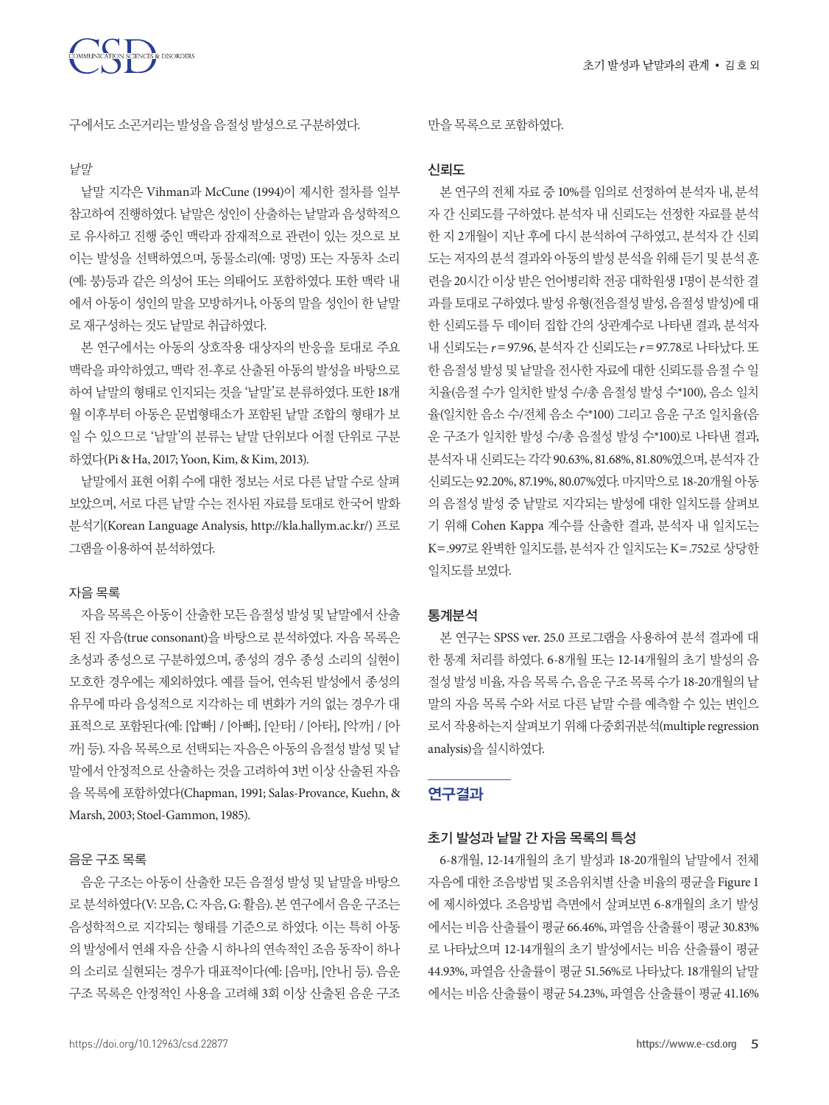

구에서도소곤거리는발성을음절성발성으로구분하였다.

#### 낱말

낱말 지각은 Vihman과 McCune (1994)이 제시한 절차를 일부 참고하여 진행하였다. 낱말은 성인이 산출하는 낱말과 음성학적으 로 유사하고 진행 중인 맥락과 잠재적으로 관련이 있는 것으로 보 이는 발성을 선택하였으며, 동물소리(예: 멍멍) 또는 자동차 소리 (예: 붕)등과 같은 의성어 또는 의태어도 포함하였다. 또한 맥락 내 에서 아동이 성인의 말을 모방하거나, 아동의 말을 성인이 한 낱말 로재구성하는것도낱말로취급하였다.

본 연구에서는 아동의 상호작용 대상자의 반응을 토대로 주요 맥락을 파악하였고, 맥락 전-후로 산출된 아동의 발성을 바탕으로 하여 낱말의 형태로 인지되는 것을 '낱말'로 분류하였다. 또한 18개 월 이후부터 아동은 문법형태소가 포함된 낱말 조합의 형태가 보 일 수 있으므로 '낱말'의 분류는 낱말 단위보다 어절 단위로 구분 하였다(Pi & Ha, 2017; Yoon, Kim, & Kim, 2013).

낱말에서 표현 어휘 수에 대한 정보는 서로 다른 낱말 수로 살펴 보았으며, 서로 다른 낱말 수는 전사된 자료를 토대로 한국어 발화 분석기(Korean Language Analysis, http://kla.hallym.ac.kr/) 프로 그램을이용하여분석하였다.

## 자음 목록

자음 목록은 아동이 산출한 모든 음절성 발성 및 낱말에서 산출 된 진 자음(true consonant)을 바탕으로 분석하였다. 자음 목록은 초성과 종성으로 구분하였으며, 종성의 경우 종성 소리의 실현이 모호한 경우에는 제외하였다. 예를 들어, 연속된 발성에서 종성의 유무에 따라 음성적으로 지각하는 데 변화가 거의 없는 경우가 대 표적으로 포함된다(예: [압빠] / [아빠], [앋타] / [아타], [악까] / [아 까] 등). 자음 목록으로 선택되는 자음은 아동의 음절성 발성 및 낱 말에서 안정적으로 산출하는 것을 고려하여 3번 이상 산출된 자음 을 목록에 포함하였다(Chapman, 1991; Salas-Provance, Kuehn, & Marsh, 2003; Stoel-Gammon, 1985).

## 음운 구조 목록

음운 구조는 아동이 산출한 모든 음절성 발성 및 낱말을 바탕으 로 분석하였다(V: 모음, C: 자음, G: 활음). 본 연구에서 음운 구조는 음성학적으로 지각되는 형태를 기준으로 하였다. 이는 특히 아동 의 발성에서 연쇄 자음 산출 시 하나의 연속적인 조음 동작이 하나 의 소리로 실현되는 경우가 대표적이다(예: [음마], [안나] 등). 음운 구조 목록은 안정적인 사용을 고려해 3회 이상 산출된 음운 구조

#### 만을목록으로포함하였다.

## 신뢰도

본 연구의 전체 자료 중 10%를 임의로 선정하여 분석자 내, 분석 자 간 신뢰도를 구하였다. 분석자 내 신뢰도는 선정한 자료를 분석 한 지 2개월이 지난 후에 다시 분석하여 구하였고, 분석자 간 신뢰 도는 저자의 분석 결과와 아동의 발성 분석을 위해 듣기 및 분석 훈 련을 20시간 이상 받은 언어병리학 전공 대학원생 1명이 분석한 결 과를 토대로 구하였다. 발성 유형(전음절성 발성, 음절성 발성)에 대 한 신뢰도를 두 데이터 집합 간의 상관계수로 나타낸 결과, 분석자 내 신뢰도는 *r*=97.96, 분석자 간 신뢰도는 *r*=97.78로 나타났다. 또 한 음절성 발성 및 낱말을 전사한 자료에 대한 신뢰도를 음절 수 일 치율(음절 수가 일치한 발성 수/총 음절성 발성 수\*100), 음소 일치 율(일치한 음소 수/전체 음소 수\*100) 그리고 음운 구조 일치율(음 운 구조가 일치한 발성 수/총 음절성 발성 수\*100)로 나타낸 결과, 부석자 내 시뢰도는 각각 90.63%, 81.68%, 81.80%였으며, 분석자 간 신뢰도는 92.20%, 87.19%, 80.07%였다. 마지막으로 18-20개월 아동 의 음절성 발성 중 낱말로 지각되는 발성에 대한 일치도를 살펴보 기 위해 Cohen Kappa 계수를 산출한 결과, 분석자 내 일치도는 K=.997로 완벽한 일치도를, 분석자 간 일치도는 K=.752로 상당한 일치도를보였다.

## 통계분석

본 연구는 SPSS ver. 25.0 프로그램을 사용하여 분석 결과에 대 한 통계 처리를 하였다. 6-8개월 또는 12-14개월의 초기 발성의 음 절성 발성 비율, 자음 목록 수, 음운 구조 목록 수가 18-20개월의 낱 말의 자음 목록 수와 서로 다른 낱말 수를 예측할 수 있는 변인으 로서작용하는지살펴보기위해다중회귀분석(multiple regression analysis)을실시하였다.

# 연구결과

#### 초기 발성과 낱말 간 자음 목록의 특성

6-8개월, 12-14개월의 초기 발성과 18-20개월의 낱말에서 전체 자음에 대한 조음방법 및 조음위치별 산출 비율의 평균을 Figure 1 에 제시하였다. 조음방법 측면에서 살펴보면 6-8개월의 초기 발성 에서는 비음 산출률이 평균 66.46%, 파열음 산출률이 평균 30.83% 로 나타났으며 12-14개월의 초기 발성에서는 비음 산출률이 평균 44.93%, 파열음 산출률이 평균 51.56%로 나타났다. 18개월의 낱말 에서는 비음 산출률이 평균 54.23%, 파열음 산출률이 평균 41.16%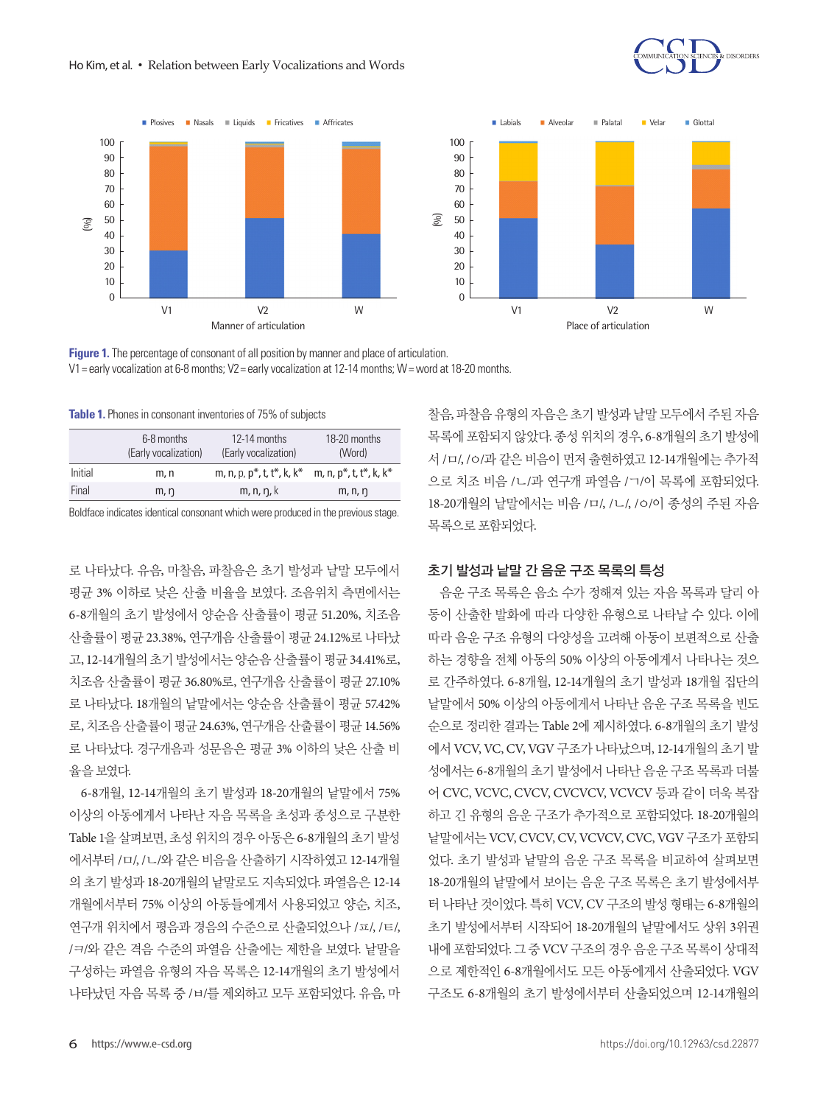



**Figure 1.** The percentage of consonant of all position by manner and place of articulation. V1= early vocalization at 6-8 months; V2= early vocalization at 12-14 months; W= word at 18-20 months.

**Table 1.** Phones in consonant inventories of 75% of subjects

|         | 6-8 months<br>(Early vocalization) | 12-14 months<br>(Early vocalization)                   | 18-20 months<br>(Word) |
|---------|------------------------------------|--------------------------------------------------------|------------------------|
| Initial | m, n                               | m, n, p, $p^*$ , t, t <sup>*</sup> , k, k <sup>*</sup> | m, n, p*, t, t*, k, k* |
| Final   | m, n                               | m, n, n, k                                             | m, n, n                |

Boldface indicates identical consonant which were produced in the previous stage.

로 나타났다. 유음, 마찰음, 파찰음은 초기 발성과 낱말 모두에서 평균 3% 이하로 낮은 산출 비율을 보였다. 조음위치 측면에서는 6-8개월의 초기 발성에서 양순음 산출률이 평균 51.20%, 치조음 산출률이 평균 23.38%, 연구개음 산출률이 평균 24.12%로 나타났 고, 12-14개월의 초기 발성에서는 양순음 산출률이 평균 34.41%로, 치조음 산출률이 평균 36.80%로, 연구개음 산출률이 평균 27.10% 로 나타났다. 18개월의 낱말에서는 양순음 산출률이 평균 57.42% 로, 치조음 산출률이 평균 24.63%, 연구개음 산출률이 평균 14.56% 로 나타났다. 경구개음과 성문음은 평균 3% 이하의 낮은 산출 비 율을보였다.

6-8개월, 12-14개월의 초기 발성과 18-20개월의 낱말에서 75% 이상의 아동에게서 나타난 자음 목록을 초성과 종성으로 구분한 Table 1을 살펴보면, 초성 위치의 경우 아동은 6-8개월의 초기 발성 에서부터 /ㅁ/, /ㄴ/와 같은 비음을 산출하기 시작하였고 12-14개월 의 초기 발성과 18-20개월의 낱말로도 지속되었다. 파열음은 12-14 개월에서부터 75% 이상의 아동들에게서 사용되었고 양순, 치조, 연구개 위치에서 평음과 경음의 수준으로 산출되었으나 /ㅍ/, /ㅌ/, /ㅋ/와 같은 격음 수준의 파열음 산출에는 제한을 보였다. 낱말을 구성하는 파열음 유형의 자음 목록은 12-14개월의 초기 발성에서 나타났던 자음 목록 중 /ㅂ/를 제외하고 모두 포함되었다. 유음, 마

찰음, 파찰음 유형의 자음은 초기 발성과 낱말 모두에서 주된 자음 목록에 포함되지 않았다. 종성 위치의 경우, 6-8개월의 초기 발성에 서 /ㅁ/, /ㅇ/과 같은 비음이 먼저 출현하였고 12-14개월에는 추가적 으로 치조 비음 /ㄴ/과 연구개 파열음 /ㄱ/이 목록에 포함되었다. 18-20개월의 낱말에서는 비음 /ㅁ/, /ㄴ/, /ㅇ/이 종성의 주된 자음 목록으로포함되었다.

## 초기 발성과 낱말 간 음운 구조 목록의 특성

음운 구조 목록은 음소 수가 정해져 있는 자음 목록과 달리 아 동이 산출한 발화에 따라 다양한 유형으로 나타날 수 있다. 이에 따라 음운 구조 유형의 다양성을 고려해 아동이 보편적으로 산출 하는 경향을 전체 아동의 50% 이상의 아동에게서 나타나는 것으 로 간주하였다. 6-8개월, 12-14개월의 초기 발성과 18개월 집단의 낱말에서 50% 이상의 아동에게서 나타난 음운 구조 목록을 빈도 순으로 정리한 결과는 Table 2에 제시하였다. 6-8개월의 초기 발성 에서 VCV, VC, CV, VGV 구조가 나타났으며, 12-14개월의 초기 발 성에서는 6-8개월의 초기 발성에서 나타난 음운 구조 목록과 더불 어 CVC, VCVC, CVCV, CVCVCV, VCVCV 등과 같이 더욱 복잡 하고 긴 유형의 음운 구조가 추가적으로 포함되었다. 18-20개월의 낱말에서는 VCV, CVCV, CV, VCVCV, CVC, VGV 구조가 포함되 었다. 초기 발성과 낱말의 음운 구조 목록을 비교하여 살펴보면 18-20개월의 낱말에서 보이는 음운 구조 목록은 초기 발성에서부 터 나타난 것이었다. 특히 VCV, CV 구조의 발성 형태는 6-8개월의 초기 발성에서부터 시작되어 18-20개월의 낱말에서도 상위 3위권 내에 포함되었다. 그 중 VCV 구조의 경우 음운 구조 목록이 상대적 으로 제한적인 6-8개월에서도 모든 아동에게서 산출되었다. VGV 구조도 6-8개월의 초기 발성에서부터 산출되었으며 12-14개월의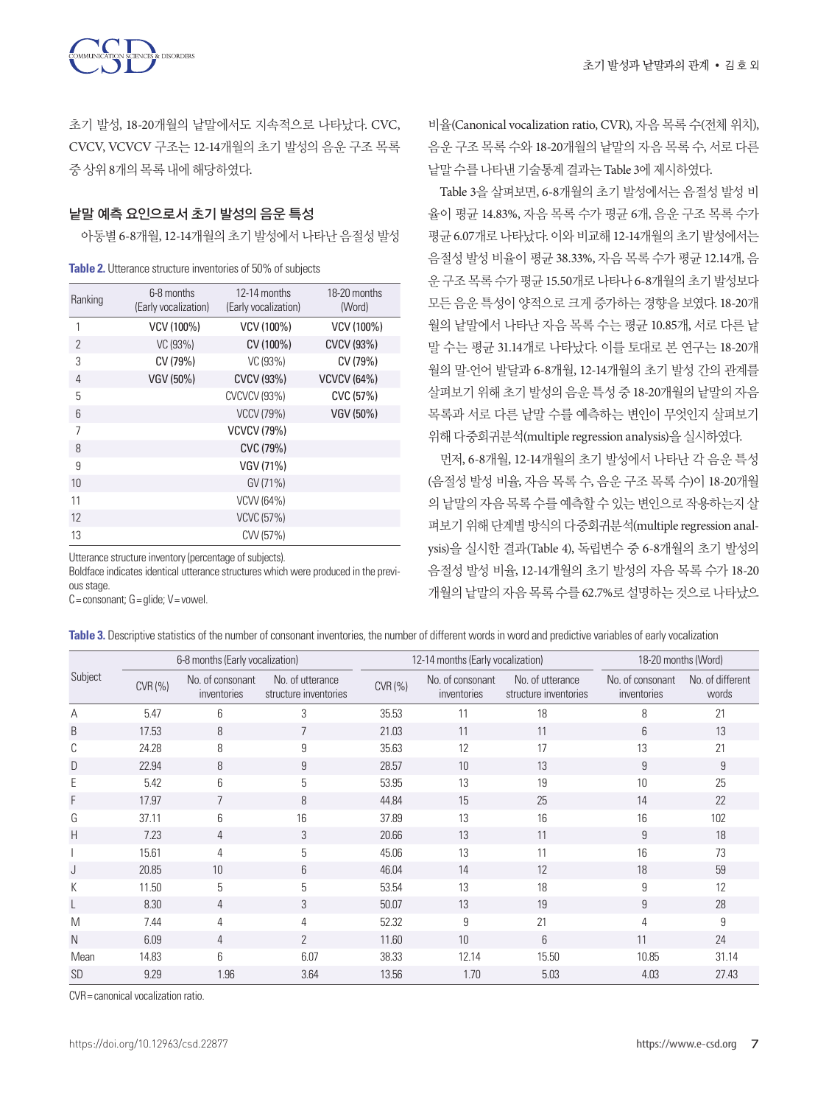

초기 발성, 18-20개월의 낱말에서도 지속적으로 나타났다. CVC, CVCV, VCVCV 구조는 12-14개월의 초기 발성의 음운 구조 목록 중상위 8개의목록내에해당하였다.

## 낱말 예측 요인으로서 초기 발성의 음운 특성

아동별 6-8개월, 12-14개월의 초기 발성에서 나타난 음절성 발성

| Ranking       | 12-14 months<br>6-8 months<br>(Early vocalization)<br>(Early vocalization) |                     | 18-20 months<br>(Word) |
|---------------|----------------------------------------------------------------------------|---------------------|------------------------|
| 1             | VCV (100%)                                                                 | VCV (100%)          | VCV (100%)             |
| $\mathcal{P}$ | VC (93%)                                                                   | CV (100%)           | CVCV (93%)             |
| 3             | CV (79%)                                                                   | VC (93%)            | CV (79%)               |
| 4             | VGV (50%)                                                                  | CVCV (93%)          | <b>VCVCV (64%)</b>     |
| 5             |                                                                            | <b>CVCVCV (93%)</b> | CVC (57%)              |
| 6             |                                                                            | <b>VCCV (79%)</b>   | VGV (50%)              |
| 7             |                                                                            | <b>VCVCV (79%)</b>  |                        |
| 8             |                                                                            | CVC (79%)           |                        |
| 9             |                                                                            | VGV (71%)           |                        |
| 10            |                                                                            | GV (71%)            |                        |
| 11            |                                                                            | VCVV (64%)          |                        |
| 12            |                                                                            | <b>VCVC (57%)</b>   |                        |
| 13            |                                                                            | CVV (57%)           |                        |

Utterance structure inventory (percentage of subjects).

Boldface indicates identical utterance structures which were produced in the previous stage.

 $C = constant$ ;  $G =$  glide;  $V =$  vowel.

비율(Canonical vocalization ratio, CVR), 자음 목록 수(전체 위치), 음운 구조 목록 수와 18-20개월의 낱말의 자음 목록 수, 서로 다른 낱말수를나타낸기술통계결과는 Table 3에제시하였다.

Table 3을 살펴보면, 6-8개월의 초기 발성에서는 음절성 발성 비 율이 평균 14.83%, 자음 목록 수가 평균 6개, 음운 구조 목록 수가 평균 6.07개로 나타났다. 이와 비교해 12-14개월의 초기 발성에서는 음절성 발성 비율이 평균 38.33%, 자음 목록 수가 평균 12.14개, 음 운 구조 목록 수가 평균 15.50개로 나타나 6-8개월의 초기 발성보다 모든 음운 특성이 양적으로 크게 증가하는 경향을 보였다. 18-20개 월의 낱말에서 나타난 자음 목록 수는 평균 10.85개, 서로 다른 낱 말 수는 평균 31.14개로 나타났다. 이를 토대로 본 연구는 18-20개 월의 말-언어 발달과 6-8개월, 12-14개월의 초기 발성 간의 관계를 살펴보기 위해 초기 발성의 음운 특성 중 18-20개월의 낱말의 자음 목록과 서로 다른 낱말 수를 예측하는 변인이 무엇인지 살펴보기 위해다중회귀분석(multiple regression analysis)을실시하였다.

먼저, 6-8개월, 12-14개월의 초기 발성에서 나타난 각 음운 특성 (음절성 발성 비율, 자음 목록 수, 음운 구조 목록 수)이 18-20개월 의 낱말의 자음 목록 수를 예측할 수 있는 변인으로 작용하는지 살 펴보기 위해 단계별 방식의 다중회귀분석(multiple regression analysis)을 실시한 결과(Table 4), 독립변수 중 6-8개월의 초기 발성의 음절성 발성 비율, 12-14개월의 초기 발성의 자음 목록 수가 18-20 개월의 낱말의 자음 목록 수를 62.7%로 설명하는 것으로 나타났으

| Table 3. Descriptive statistics of the number of consonant inventories, the number of different words in word and predictive variables of early vocalization |  |  |
|--------------------------------------------------------------------------------------------------------------------------------------------------------------|--|--|
|--------------------------------------------------------------------------------------------------------------------------------------------------------------|--|--|

|           | 6-8 months (Early vocalization) |                                 |                                           |        | 12-14 months (Early vocalization) | 18-20 months (Word)                       |                                 |                           |
|-----------|---------------------------------|---------------------------------|-------------------------------------------|--------|-----------------------------------|-------------------------------------------|---------------------------------|---------------------------|
| Subject   | CVR(%)                          | No. of consonant<br>inventories | No. of utterance<br>structure inventories | CVR(%) | No. of consonant<br>inventories   | No. of utterance<br>structure inventories | No. of consonant<br>inventories | No. of different<br>words |
| Α         | 5.47                            | 6                               | 3                                         | 35.53  | 11                                | 18                                        | 8                               | 21                        |
| B         | 17.53                           | 8                               | 7                                         | 21.03  | 11                                | 11                                        | 6                               | 13                        |
| С         | 24.28                           | 8                               | 9                                         | 35.63  | 12                                | 17                                        | 13                              | 21                        |
| D         | 22.94                           | 8                               | 9                                         | 28.57  | 10                                | 13                                        | 9                               | 9                         |
| E         | 5.42                            | 6                               | 5                                         | 53.95  | 13                                | 19                                        | 10                              | 25                        |
| F         | 17.97                           | 7                               | 8                                         | 44.84  | 15                                | 25                                        | 14                              | 22                        |
| G         | 37.11                           | 6                               | 16                                        | 37.89  | 13                                | 16                                        | 16                              | 102                       |
| H         | 7.23                            | 4                               | 3                                         | 20.66  | 13                                | 11                                        | 9                               | 18                        |
|           | 15.61                           | 4                               | 5                                         | 45.06  | 13                                | 11                                        | 16                              | 73                        |
| J         | 20.85                           | 10                              | 6                                         | 46.04  | 14                                | 12                                        | 18                              | 59                        |
| К         | 11.50                           | 5                               | 5                                         | 53.54  | 13                                | 18                                        | 9                               | 12                        |
|           | 8.30                            | 4                               | 3                                         | 50.07  | 13                                | 19                                        | 9                               | 28                        |
| M         | 7.44                            | 4                               | 4                                         | 52.32  | 9                                 | 21                                        | 4                               | 9                         |
| N         | 6.09                            | 4                               | $\overline{2}$                            | 11.60  | 10                                | 6                                         | 11                              | 24                        |
| Mean      | 14.83                           | 6                               | 6.07                                      | 38.33  | 12.14                             | 15.50                                     | 10.85                           | 31.14                     |
| <b>SD</b> | 9.29                            | 1.96                            | 3.64                                      | 13.56  | 1.70                              | 5.03                                      | 4.03                            | 27.43                     |

CVR= canonical vocalization ratio.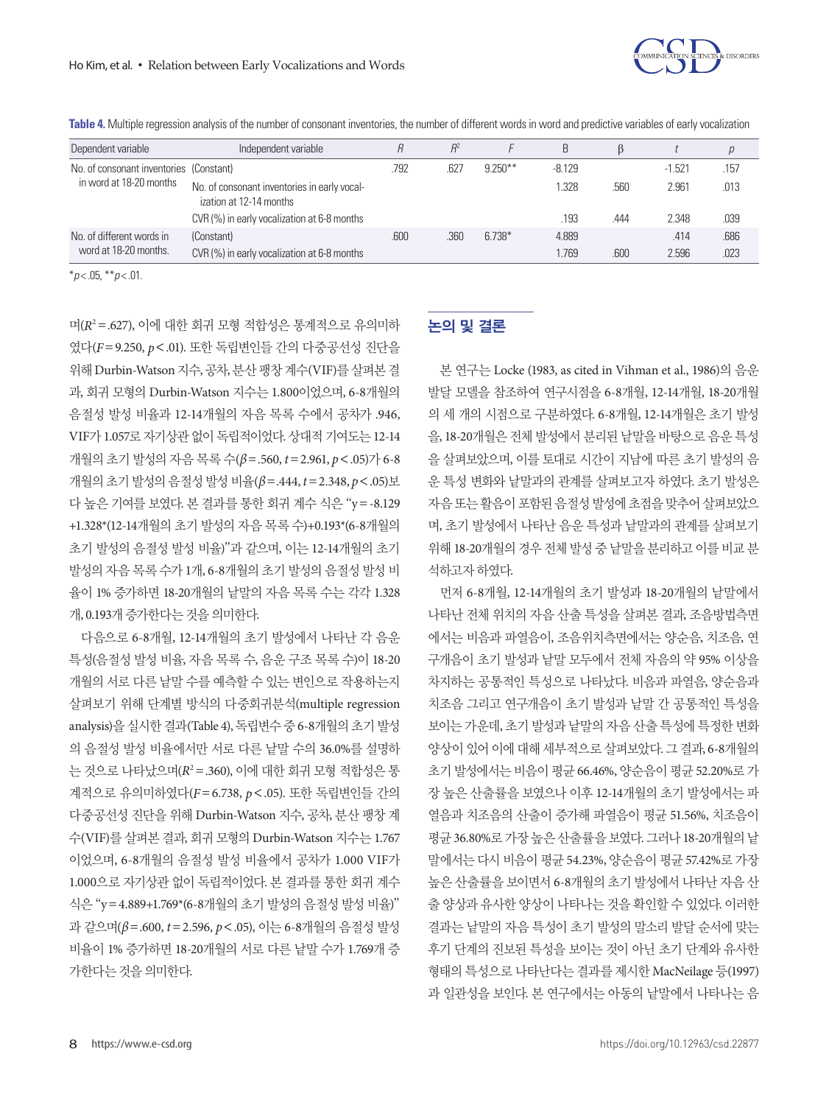

**Table 4.** Multiple regression analysis of the number of consonant inventories, the number of different words in word and predictive variables of early vocalization

| Dependent variable                                                 | Independent variable                                                    |      | $R^2$ |           | B        |      |          | р    |
|--------------------------------------------------------------------|-------------------------------------------------------------------------|------|-------|-----------|----------|------|----------|------|
| No. of consonant inventories (Constant)<br>in word at 18-20 months |                                                                         | .792 | .627  | $9.250**$ | $-8.129$ |      | $-1.521$ | .157 |
|                                                                    | No. of consonant inventories in early vocal-<br>ization at 12-14 months |      |       |           | .328     | .560 | 2.961    | .013 |
|                                                                    | CVR (%) in early vocalization at 6-8 months                             |      |       |           | .193     | .444 | 2.348    | .039 |
| No. of different words in                                          | (Constant)                                                              | .600 | .360  | $6.738*$  | 4.889    |      | .414     | .686 |
| word at 18-20 months.                                              | CVR (%) in early vocalization at 6-8 months                             |      |       |           | .769     | .600 | 2.596    | .023 |

\**p* < .05, \*\**p* < .01.

며(*R*<sup>2</sup> =.627), 이에 대한 회귀 모형 적합성은 통계적으로 유의미하 였다(*F*=9.250, *p*<.01). 또한 독립변인들 간의 다중공선성 진단을 위해 Durbin-Watson 지수, 공차, 분산팽창계수(VIF)를살펴본결 과, 회귀 모형의 Durbin-Watson 지수는 1.800이었으며, 6-8개월의 음절성 발성 비율과 12-14개월의 자음 목록 수에서 공차가 .946, VIF가 1.057로 자기상관 없이 독립적이었다. 상대적 기여도는 12-14 개월의 초기 발성의 자음 목록 수(*β*=.560, *t*=2.961, *p*<.05)가 6-8 개월의초기발성의음절성발성비율(*β*=.444, *t*=2.348, *p*<.05)보 다 높은 기여를 보였다. 본 결과를 통한 회귀 계수 식은 "y=-8.129 +1.328\*(12-14개월의 초기 발성의 자음 목록 수)+0.193\*(6-8개월의 초기 발성의 음절성 발성 비율)"과 같으며, 이는 12-14개월의 초기 발성의 자음 목록 수가 1개, 6-8개월의 초기 발성의 음절성 발성 비 율이 1% 증가하면 18-20개월의 낱말의 자음 목록 수는 각각 1.328 개, 0.193개증가한다는것을의미한다.

다음으로 6-8개월, 12-14개월의 초기 발성에서 나타난 각 음운 특성(음절성 발성 비율, 자음 목록 수, 음운 구조 목록 수)이 18-20 개월의 서로 다른 낱말 수를 예측할 수 있는 변인으로 작용하는지 살펴보기 위해 단계별 방식의 다중회귀분석(multiple regression analysis)을 실시한 결과(Table 4), 독립변수 중 6-8개월의 초기 발성 의 음절성 발성 비율에서만 서로 다른 낱말 수의 36.0%를 설명하 는 것으로 나타났으며(*R*<sup>2</sup> =.360), 이에 대한 회귀 모형 적합성은 통 계적으로 유의미하였다(*F*=6.738, *p*<.05). 또한 독립변인들 간의 다중공선성 진단을 위해 Durbin-Watson 지수, 공차, 분산 팽창 계 수(VIF)를 살펴본 결과, 회귀 모형의 Durbin-Watson 지수는 1.767 이었으며, 6-8개월의 음절성 발성 비율에서 공차가 1.000 VIF가 1.000으로 자기상관 없이 독립적이었다. 본 결과를 통한 회귀 계수 식은 "y=4.889+1.769\*(6-8개월의 초기 발성의 음절성 발성 비율)" 과 같으며(*β*=.600, *t*=2.596, *p*<.05), 이는 6-8개월의 음절성 발성 비율이 1% 증가하면 18-20개월의 서로 다른 낱말 수가 1.769개 증 가한다는것을의미한다.

# 논의 및 결론

본 연구는 Locke (1983, as cited in Vihman et al., 1986)의 음운 발달 모델을 참조하여 연구시점을 6-8개월, 12-14개월, 18-20개월 의 세 개의 시점으로 구분하였다. 6-8개월, 12-14개월은 초기 발성 을, 18-20개월은 전체 발성에서 분리된 낱말을 바탕으로 음운 특성 을 살펴보았으며, 이를 토대로 시간이 지남에 따른 초기 발성의 음 운 특성 변화와 낱말과의 관계를 살펴보고자 하였다. 초기 발성은 자음또는활음이포함된음절성발성에초점을맞추어살펴보았으 며, 초기 발성에서 나타난 음운 특성과 낱말과의 관계를 살펴보기 위해 18-20개월의 경우 전체 발성 중 낱말을 분리하고 이를 비교 분 석하고자하였다.

먼저 6-8개월, 12-14개월의 초기 발성과 18-20개월의 낱말에서 나타난 전체 위치의 자음 산출 특성을 살펴본 결과, 조음방법측면 에서는 비음과 파열음이, 조음위치측면에서는 양순음, 치조음, 연 구개음이 초기 발성과 낱말 모두에서 전체 자음의 약 95% 이상을 차지하는 공통적인 특성으로 나타났다. 비음과 파열음, 양순음과 치조음 그리고 연구개음이 초기 발성과 낱말 간 공통적인 특성을 보이는 가운데, 초기 발성과 낱말의 자음 산출 특성에 특정한 변화 양상이 있어 이에 대해 세부적으로 살펴보았다. 그 결과, 6-8개월의 초기 발성에서는 비음이 평균 66.46%, 양순음이 평균 52.20%로 가 장 높은 산출률을 보였으나 이후 12-14개월의 초기 발성에서는 파 열음과 치조음의 산출이 증가해 파열음이 평균 51.56%, 치조음이 평균 36.80%로 가장 높은 산출률을 보였다. 그러나 18-20개월의 낱 말에서는 다시 비음이 평균 54.23%, 양순음이 평균 57.42%로 가장 높은 산출률을 보이면서 6-8개월의 초기 발성에서 나타난 자음 산 출 양상과 유사한 양상이 나타나는 것을 확인할 수 있었다. 이러한 결과는 낱말의 자음 특성이 초기 발성의 말소리 발달 순서에 맞는 후기 단계의 진보된 특성을 보이는 것이 아닌 초기 단계와 유사한 형태의 특성으로 나타난다는 결과를 제시한 MacNeilage 등(1997) 과 일관성을 보인다. 본 연구에서는 아동의 낱말에서 나타나는 음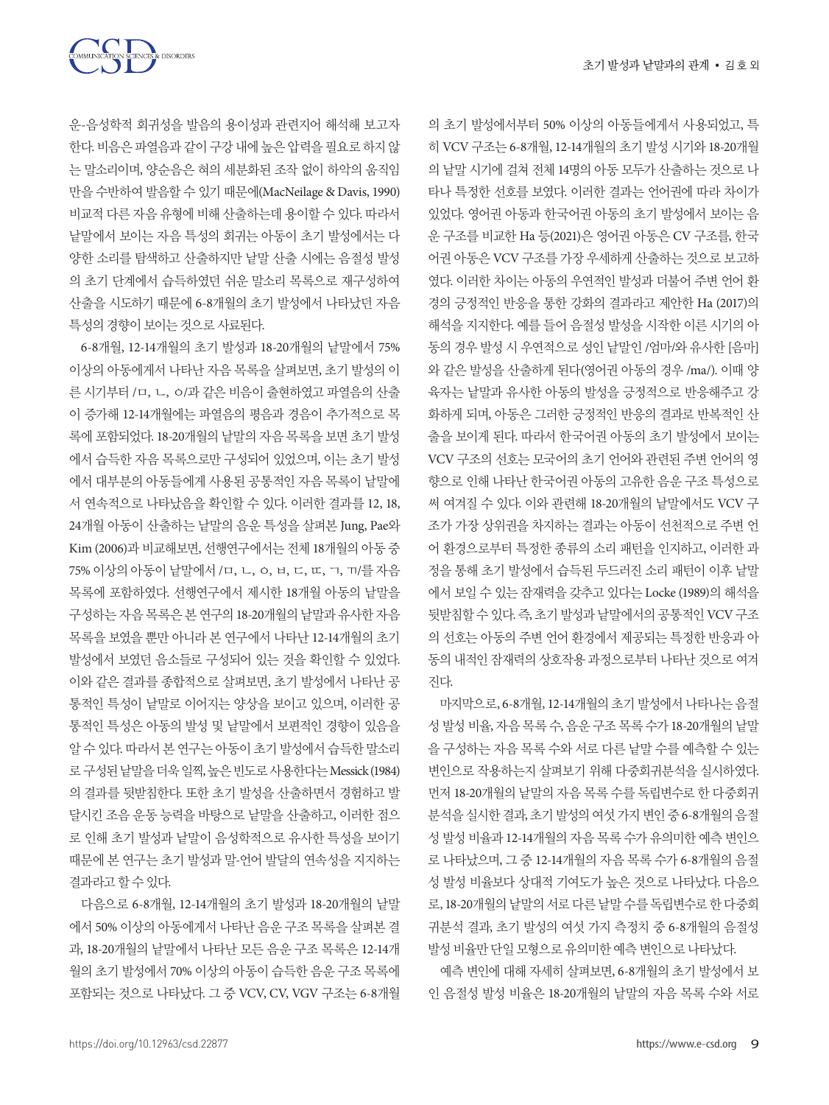COMMUNICATION SCIENCES & DISORDERS

운-음성학적 회귀성을 발음의 용이성과 관련지어 해석해 보고자 한다. 비음은 파열음과 같이 구강 내에 높은 압력을 필요로 하지 않 는 말소리이며, 양순음은 혀의 세분화된 조작 없이 하악의 움직임 만을 수반하여 발음할 수 있기 때문에(MacNeilage & Davis, 1990) 비교적 다른 자음 유형에 비해 산출하는데 용이할 수 있다. 따라서 낱말에서 보이는 자음 특성의 회귀는 아동이 초기 발성에서는 다 양한 소리를 탐색하고 산출하지만 낱말 산출 시에는 음절성 발성 의 초기 단계에서 습득하였던 쉬운 말소리 목록으로 재구성하여 산출을 시도하기 때문에 6-8개월의 초기 발성에서 나타났던 자음 특성의경향이보이는것으로사료된다.

6-8개월, 12-14개월의 초기 발성과 18-20개월의 낱말에서 75% 이상의 아동에게서 나타난 자음 목록을 살펴보면, 초기 발성의 이 른 시기부터 /ㅁ, ㄴ, ㅇ/과 같은 비음이 출현하였고 파열음의 산출 이 증가해 12-14개월에는 파열음의 평음과 경음이 추가적으로 목 록에 포함되었다. 18-20개월의 낱말의 자음 목록을 보면 초기 발성 에서 습득한 자음 목록으로만 구성되어 있었으며, 이는 초기 발성 에서 대부분의 아동들에게 사용된 공통적인 자음 목록이 낱말에 서 연속적으로 나타났음을 확인할 수 있다. 이러한 결과를 12, 18, 24개월 아동이 산출하는 낱말의 음운 특성을 살펴본 Jung, Pae와 Kim (2006)과 비교해보면, 선행연구에서는 전체 18개월의 아동 중 75% 이상의 아동이 낱말에서 /ㅁ, ㄴ, ㅇ, ㅂ, ㄷ, ㄸ, ㄱ, ㄲ/를 자음 목록에 포함하였다. 선행연구에서 제시한 18개월 아동의 낱말을 구성하는 자음 목록은 본 연구의 18-20개월의 낱말과 유사한 자음 목록을 보였을 뿐만 아니라 본 연구에서 나타난 12-14개월의 초기 발성에서 보였던 음소들로 구성되어 있는 것을 확인할 수 있었다. 이와 같은 결과를 종합적으로 살펴보면, 초기 발성에서 나타난 공 통적인 특성이 낱말로 이어지는 양상을 보이고 있으며, 이러한 공 통적인 특성은 아동의 발성 및 낱말에서 보편적인 경향이 있음을 알 수 있다. 따라서 본 연구는 아동이 초기 발성에서 습득한 말소리 로 구성된 낱말을 더욱 일찍, 높은 빈도로 사용한다는 Messick (1984) 의 결과를 뒷받침한다. 또한 초기 발성을 산출하면서 경험하고 발 달시킨 조음 운동 능력을 바탕으로 낱말을 산출하고, 이러한 점으 로 인해 초기 발성과 낱말이 음성학적으로 유사한 특성을 보이기 때문에 본 연구는 초기 발성과 말-언어 발달의 연속성을 지지하는 결과라고할수있다.

다음으로 6-8개월, 12-14개월의 초기 발성과 18-20개월의 낱말 에서 50% 이상의 아동에게서 나타난 음운 구조 목록을 살펴본 결 과, 18-20개월의 낱말에서 나타난 모든 음운 구조 목록은 12-14개 월의 초기 발성에서 70% 이상의 아동이 습득한 음운 구조 목록에 포함되는 것으로 나타났다. 그 중 VCV, CV, VGV 구조는 6-8개월

의 초기 발성에서부터 50% 이상의 아동들에게서 사용되었고, 특 히 VCV 구조는 6-8개월, 12-14개월의 초기 발성 시기와 18-20개월 의 낱말 시기에 걸쳐 전체 14명의 아동 모두가 산출하는 것으로 나 타나 특정한 선호를 보였다. 이러한 결과는 언어권에 따라 차이가 있었다. 영어권 아동과 한국어권 아동의 초기 발성에서 보이는 음 운 구조를 비교한 Ha 등(2021)은 영어권 아동은 CV 구조를, 한국 어권 아동은 VCV 구조를 가장 우세하게 산출하는 것으로 보고하 였다. 이러한 차이는 아동의 우연적인 발성과 더불어 주변 언어 환 경의 긍정적인 반응을 통한 강화의 결과라고 제안한 Ha (2017)의 해석을 지지한다. 예를 들어 음절성 발성을 시작한 이른 시기의 아 동의 경우 발성 시 우연적으로 성인 낱말인 /엄마/와 유사한 [음마] 와 같은 발성을 산출하게 된다(영어권 아동의 경우 /ma/). 이때 양 육자는 낱말과 유사한 아동의 발성을 긍정적으로 반응해주고 강 화하게 되며, 아동은 그러한 긍정적인 반응의 결과로 반복적인 산 출을 보이게 된다. 따라서 한국어권 아동의 초기 발성에서 보이는 VCV 구조의 선호는 모국어의 초기 언어와 관련된 주변 언어의 영 향으로 인해 나타난 한국어권 아동의 고유한 음운 구조 특성으로 써 여겨질 수 있다. 이와 관련해 18-20개월의 낱말에서도 VCV 구 조가 가장 상위권을 차지하는 결과는 아동이 선천적으로 주변 언 어 환경으로부터 특정한 종류의 소리 패턴을 인지하고, 이러한 과 정을 통해 초기 발성에서 습득된 두드러진 소리 패턴이 이후 낱말 에서 보일 수 있는 잠재력을 갖추고 있다는 Locke (1989)의 해석을 뒷받침할 수 있다. 즉, 초기 발성과 낱말에서의 공통적인 VCV 구조 의 선호는 아동의 주변 언어 환경에서 제공되는 특정한 반응과 아 동의 내적인 잠재력의 상호작용 과정으로부터 나타난 것으로 여겨 진다.

마지막으로, 6-8개월, 12-14개월의 초기 발성에서 나타나는 음절 성 발성 비율, 자음 목록 수, 음운 구조 목록 수가 18-20개월의 낱말 을 구성하는 자음 목록 수와 서로 다른 낱말 수를 예측할 수 있는 변인으로 작용하는지 살펴보기 위해 다중회귀분석을 실시하였다. 먼저 18-20개월의 낱말의 자음 목록 수를 독립변수로 한 다중회귀 분석을 실시한 결과, 초기 발성의 여섯 가지 변인 중 6-8개월의 음절 성 발성 비율과 12-14개월의 자음 목록 수가 유의미한 예측 변인으 로 나타났으며, 그 중 12-14개월의 자음 목록 수가 6-8개월의 음절 성 발성 비율보다 상대적 기여도가 높은 것으로 나타났다. 다음으 로, 18-20개월의 낱말의 서로 다른 낱말 수를 독립변수로 한 다중회 귀분석 결과, 초기 발성의 여섯 가지 측정치 중 6-8개월의 음절성 발성비율만단일모형으로유의미한예측변인으로나타났다.

예측 변인에 대해 자세히 살펴보면, 6-8개월의 초기 발성에서 보 인 음절성 발성 비율은 18-20개월의 낱말의 자음 목록 수와 서로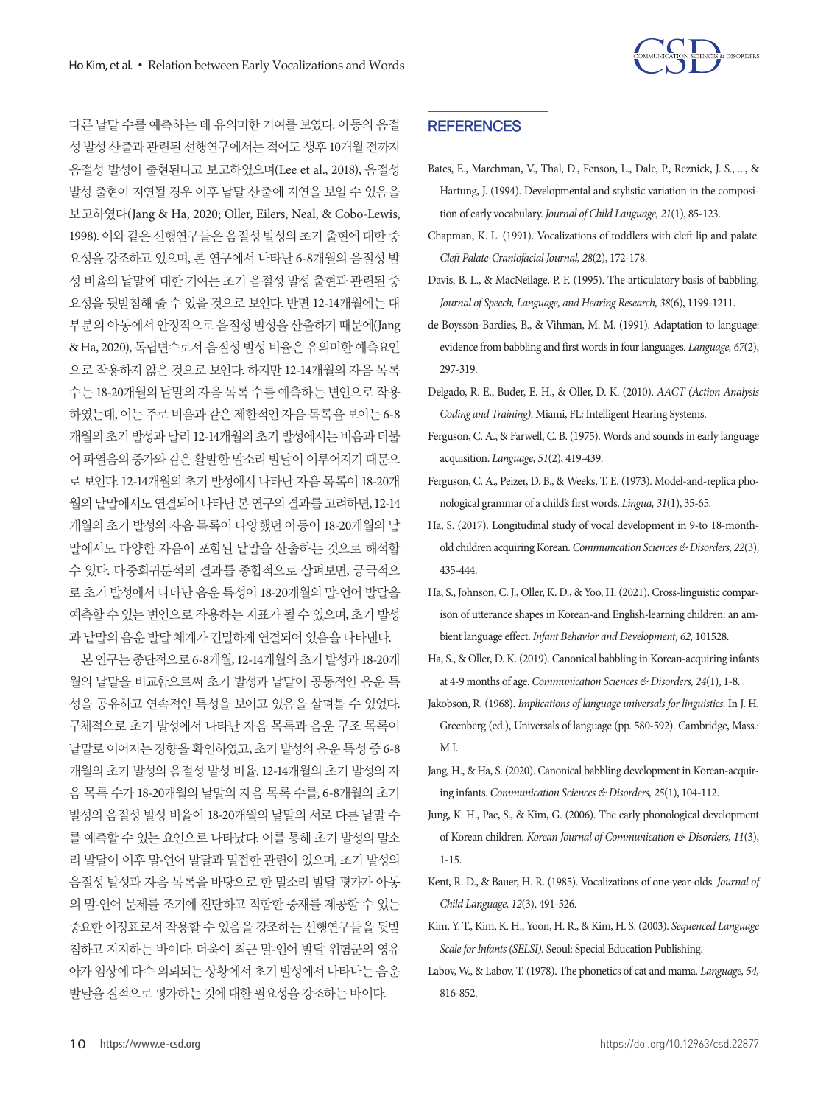

다른 낱말 수를 예측하는 데 유의미한 기여를 보였다. 아동의 음절 성 발성 산출과 관련된 선행연구에서는 적어도 생후 10개월 전까지 음절성 발성이 출현된다고 보고하였으며(Lee et al., 2018), 음절성 발성 출현이 지연될 경우 이후 낱말 산출에 지연을 보일 수 있음을 보고하였다(Jang & Ha, 2020; Oller, Eilers, Neal, & Cobo-Lewis, 1998). 이와 같은 선행연구들은 음절성 발성의 초기 출현에 대한 중 요성을 강조하고 있으며, 본 연구에서 나타난 6-8개월의 음절성 발 성 비율의 낱말에 대한 기여는 초기 음절성 발성 출현과 관련된 중 요성을 뒷받침해 줄 수 있을 것으로 보인다. 반면 12-14개월에는 대 부분의 아동에서 안정적으로 음절성 발성을 산출하기 때문에(Jang & Ha, 2020), 독립변수로서 음절성 발성 비율은 유의미한 예측요인 으로 작용하지 않은 것으로 보인다. 하지만 12-14개월의 자음 목록 수는 18-20개월의 낱말의 자음 목록 수를 예측하는 변인으로 작용 하였는데, 이는주로비음과같은제한적인자음목록을보이는 6-8 개월의 초기 발성과 달리 12-14개월의 초기 발성에서는 비음과 더불 어 파열음의 증가와 같은 활발한 말소리 발달이 이루어지기 때문으 로 보인다. 12-14개월의 초기 발성에서 나타난 자음 목록이 18-20개 월의 낱말에서도 연결되어 나타난 본 연구의 결과를 고려하면, 12-14 개월의 초기 발성의 자음 목록이 다양했던 아동이 18-20개월의 낱 말에서도 다양한 자음이 포함된 낱말을 산출하는 것으로 해석할 수 있다. 다중회귀분석의 결과를 종합적으로 살펴보면, 궁극적으 로 초기 발성에서 나타난 음운 특성이 18-20개월의 말-언어 발달을 예측할 수 있는 변인으로 작용하는 지표가 될 수 있으며, 초기 발성 과낱말의음운발달체계가긴밀하게연결되어있음을나타낸다.

본연구는종단적으로 6-8개월, 12-14개월의초기발성과 18-20개 월의 낱말을 비교함으로써 초기 발성과 낱말이 공통적인 음운 특 성을 공유하고 연속적인 특성을 보이고 있음을 살펴볼 수 있었다. 구체적으로 초기 발성에서 나타난 자음 목록과 음운 구조 목록이 낱말로 이어지는 경향을 확인하였고, 초기 발성의 음운 특성 중 6-8 개월의 초기 발성의 음절성 발성 비율, 12-14개월의 초기 발성의 자 음 목록 수가 18-20개월의 낱말의 자음 목록 수를, 6-8개월의 초기 발성의 음절성 발성 비율이 18-20개월의 낱말의 서로 다른 낱말 수 를 예측할 수 있는 요인으로 나타났다. 이를 통해 초기 발성의 말소 리 발달이 이후 말-언어 발달과 밀접한 관련이 있으며, 초기 발성의 음절성 발성과 자음 목록을 바탕으로 한 말소리 발달 평가가 아동 의 말-언어 문제를 조기에 진단하고 적합한 중재를 제공할 수 있는 중요한 이정표로서 작용할 수 있음을 강조하는 선행연구들을 뒷받 침하고 지지하는 바이다. 더욱이 최근 말-언어 발달 위험군의 영유 아가 임상에 다수 의뢰되는 상황에서 초기 발성에서 나타나는 음운 발달을질적으로평가하는것에대한필요성을강조하는바이다.

## **REFERENCES**

- Bates, E., Marchman, V., Thal, D., Fenson, L., Dale, P., Reznick, J. S., ..., & Hartung, J. (1994). Developmental and stylistic variation in the composition of early vocabulary. *Journal of Child Language, 21*(1), 85-123.
- Chapman, K. L. (1991). Vocalizations of toddlers with cleft lip and palate. *Cleft Palate-Craniofacial Journal, 28*(2), 172-178.
- Davis, B. L., & MacNeilage, P. F. (1995). The articulatory basis of babbling. *Journal of Speech, Language, and Hearing Research, 38*(6), 1199-1211.
- de Boysson-Bardies, B., & Vihman, M. M. (1991). Adaptation to language: evidence from babbling and first words in four languages. *Language, 67*(2), 297-319.
- Delgado, R. E., Buder, E. H., & Oller, D. K. (2010). *AACT (Action Analysis Coding and Training).* Miami, FL: Intelligent Hearing Systems.
- Ferguson, C. A., & Farwell, C. B. (1975). Words and sounds in early language acquisition. *Language, 51*(2), 419-439.
- Ferguson, C. A., Peizer, D. B., & Weeks, T. E. (1973). Model-and-replica phonological grammar of a child's first words. *Lingua, 31*(1), 35-65.
- Ha, S. (2017). Longitudinal study of vocal development in 9-to 18-monthold children acquiring Korean. *Communication Sciences & Disorders, 22*(3), 435-444.
- Ha, S., Johnson, C. J., Oller, K. D., & Yoo, H. (2021). Cross-linguistic comparison of utterance shapes in Korean-and English-learning children: an ambient language effect. *Infant Behavior and Development, 62,* 101528.
- Ha, S., & Oller, D. K. (2019). Canonical babbling in Korean-acquiring infants at 4-9 months of age. *Communication Sciences & Disorders, 24*(1), 1-8.
- Jakobson, R. (1968). *Implications of language universals for linguistics.* In J. H. Greenberg (ed.), Universals of language (pp. 580-592). Cambridge, Mass.: M.I.
- Jang, H., & Ha, S. (2020). Canonical babbling development in Korean-acquiring infants. *Communication Sciences & Disorders, 25*(1), 104-112.
- Jung, K. H., Pae, S., & Kim, G. (2006). The early phonological development of Korean children. *Korean Journal of Communication & Disorders, 11*(3), 1-15.
- Kent, R. D., & Bauer, H. R. (1985). Vocalizations of one-year-olds. *Journal of Child Language, 12*(3), 491-526.
- Kim, Y. T., Kim, K. H., Yoon, H. R., & Kim, H. S. (2003). *Sequenced Language Scale for Infants (SELSI).* Seoul: Special Education Publishing.
- Labov, W., & Labov, T. (1978). The phonetics of cat and mama. *Language, 54,*  816-852.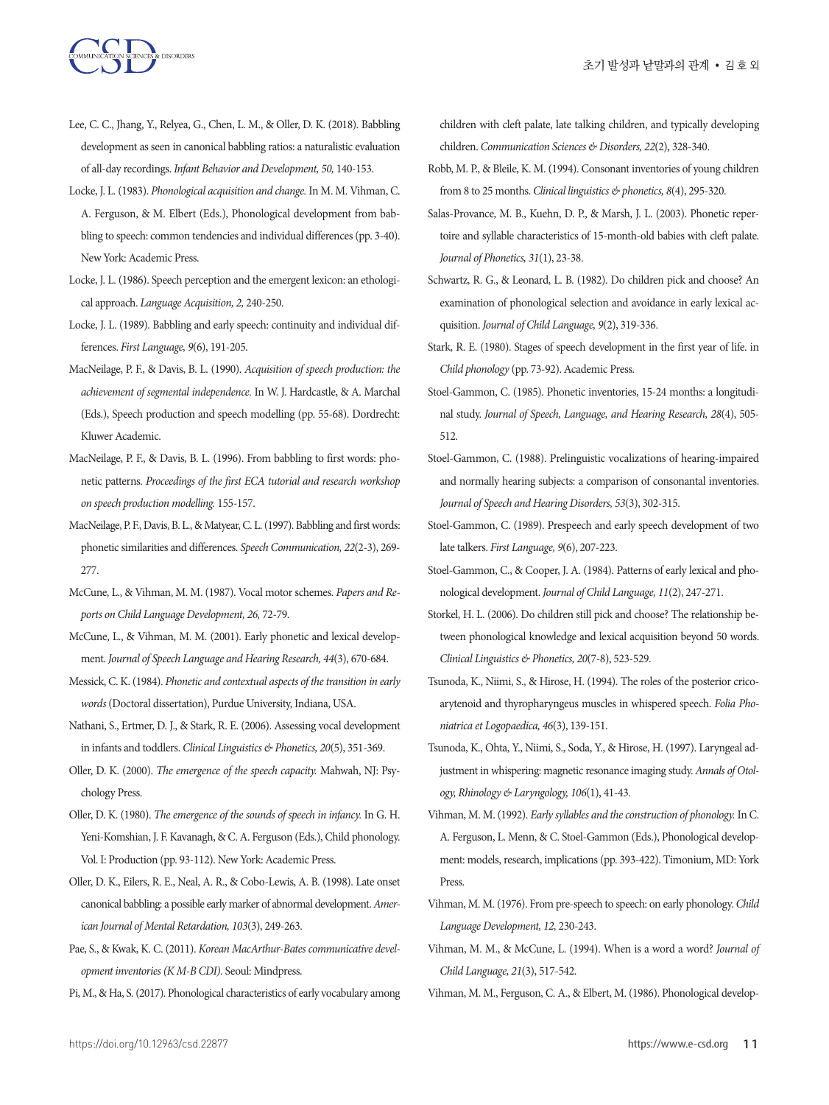- Lee, C. C., Jhang, Y., Relyea, G., Chen, L. M., & Oller, D. K. (2018). Babbling development as seen in canonical babbling ratios: a naturalistic evaluation of all-day recordings. *Infant Behavior and Development, 50,* 140-153.
- Locke, J. L. (1983). *Phonological acquisition and change.* In M. M. Vihman, C. A. Ferguson, & M. Elbert (Eds.), Phonological development from babbling to speech: common tendencies and individual differences (pp. 3-40). New York: Academic Press.
- Locke, J. L. (1986). Speech perception and the emergent lexicon: an ethological approach. *Language Acquisition, 2,* 240-250.
- Locke, J. L. (1989). Babbling and early speech: continuity and individual differences. *First Language, 9*(6), 191-205.
- MacNeilage, P. F., & Davis, B. L. (1990). *Acquisition of speech production: the achievement of segmental independence.* In W. J. Hardcastle, & A. Marchal (Eds.), Speech production and speech modelling (pp. 55-68). Dordrecht: Kluwer Academic.
- MacNeilage, P. F., & Davis, B. L. (1996). From babbling to first words: phonetic patterns. *Proceedings of the first ECA tutorial and research workshop on speech production modelling.* 155-157.
- MacNeilage, P. F., Davis, B. L., & Matyear, C. L. (1997). Babbling and first words: phonetic similarities and differences. *Speech Communication, 22*(2-3), 269- 277.
- McCune, L., & Vihman, M. M. (1987). Vocal motor schemes. *Papers and Reports on Child Language Development, 26,* 72-79.
- McCune, L., & Vihman, M. M. (2001). Early phonetic and lexical development. *Journal of Speech Language and Hearing Research, 44*(3), 670-684.
- Messick, C. K. (1984). *Phonetic and contextual aspects of the transition in early words* (Doctoral dissertation), Purdue University, Indiana, USA.
- Nathani, S., Ertmer, D. J., & Stark, R. E. (2006). Assessing vocal development in infants and toddlers. *Clinical Linguistics & Phonetics, 20*(5), 351-369.
- Oller, D. K. (2000). *The emergence of the speech capacity.* Mahwah, NJ: Psychology Press.
- Oller, D. K. (1980). *The emergence of the sounds of speech in infancy.* In G. H. Yeni-Komshian, J. F. Kavanagh, & C. A. Ferguson (Eds.), Child phonology. Vol. I: Production (pp. 93-112). New York: Academic Press.
- Oller, D. K., Eilers, R. E., Neal, A. R., & Cobo-Lewis, A. B. (1998). Late onset canonical babbling: a possible early marker of abnormal development. *American Journal of Mental Retardation, 103*(3), 249-263.
- Pae, S., & Kwak, K. C. (2011). *Korean MacArthur-Bates communicative development inventories (K M-B CDI).* Seoul: Mindpress.
- Pi, M., & Ha, S. (2017). Phonological characteristics of early vocabulary among

children with cleft palate, late talking children, and typically developing children. *Communication Sciences & Disorders, 22*(2), 328-340.

- Robb, M. P., & Bleile, K. M. (1994). Consonant inventories of young children from 8 to 25 months. *Clinical linguistics & phonetics, 8*(4), 295-320.
- Salas-Provance, M. B., Kuehn, D. P., & Marsh, J. L. (2003). Phonetic repertoire and syllable characteristics of 15-month-old babies with cleft palate. *Journal of Phonetics, 31*(1), 23-38.
- Schwartz, R. G., & Leonard, L. B. (1982). Do children pick and choose? An examination of phonological selection and avoidance in early lexical acquisition. *Journal of Child Language, 9*(2), 319-336.
- Stark, R. E. (1980). Stages of speech development in the first year of life. in *Child phonology* (pp. 73-92). Academic Press.
- Stoel-Gammon, C. (1985). Phonetic inventories, 15-24 months: a longitudinal study. *Journal of Speech, Language, and Hearing Research, 28*(4), 505- 512.
- Stoel-Gammon, C. (1988). Prelinguistic vocalizations of hearing-impaired and normally hearing subjects: a comparison of consonantal inventories. *Journal of Speech and Hearing Disorders, 53*(3), 302-315.
- Stoel-Gammon, C. (1989). Prespeech and early speech development of two late talkers. *First Language, 9*(6), 207-223.
- Stoel-Gammon, C., & Cooper, J. A. (1984). Patterns of early lexical and phonological development. *Journal of Child Language, 11*(2), 247-271.
- Storkel, H. L. (2006). Do children still pick and choose? The relationship between phonological knowledge and lexical acquisition beyond 50 words. *Clinical Linguistics & Phonetics, 20*(7-8), 523-529.
- Tsunoda, K., Niimi, S., & Hirose, H. (1994). The roles of the posterior cricoarytenoid and thyropharyngeus muscles in whispered speech. *Folia Phoniatrica et Logopaedica, 46*(3), 139-151.
- Tsunoda, K., Ohta, Y., Niimi, S., Soda, Y., & Hirose, H. (1997). Laryngeal adjustment in whispering: magnetic resonance imaging study. *Annals of Otology, Rhinology & Laryngology, 106*(1), 41-43.
- Vihman, M. M. (1992). *Early syllables and the construction of phonology.* In C. A. Ferguson, L. Menn, & C. Stoel-Gammon (Eds.), Phonological development: models, research, implications (pp. 393-422). Timonium, MD: York Press.
- Vihman, M. M. (1976). From pre-speech to speech: on early phonology. *Child Language Development, 12,* 230-243.
- Vihman, M. M., & McCune, L. (1994). When is a word a word? *Journal of Child Language, 21*(3), 517-542.
- Vihman, M. M., Ferguson, C. A., & Elbert, M. (1986). Phonological develop-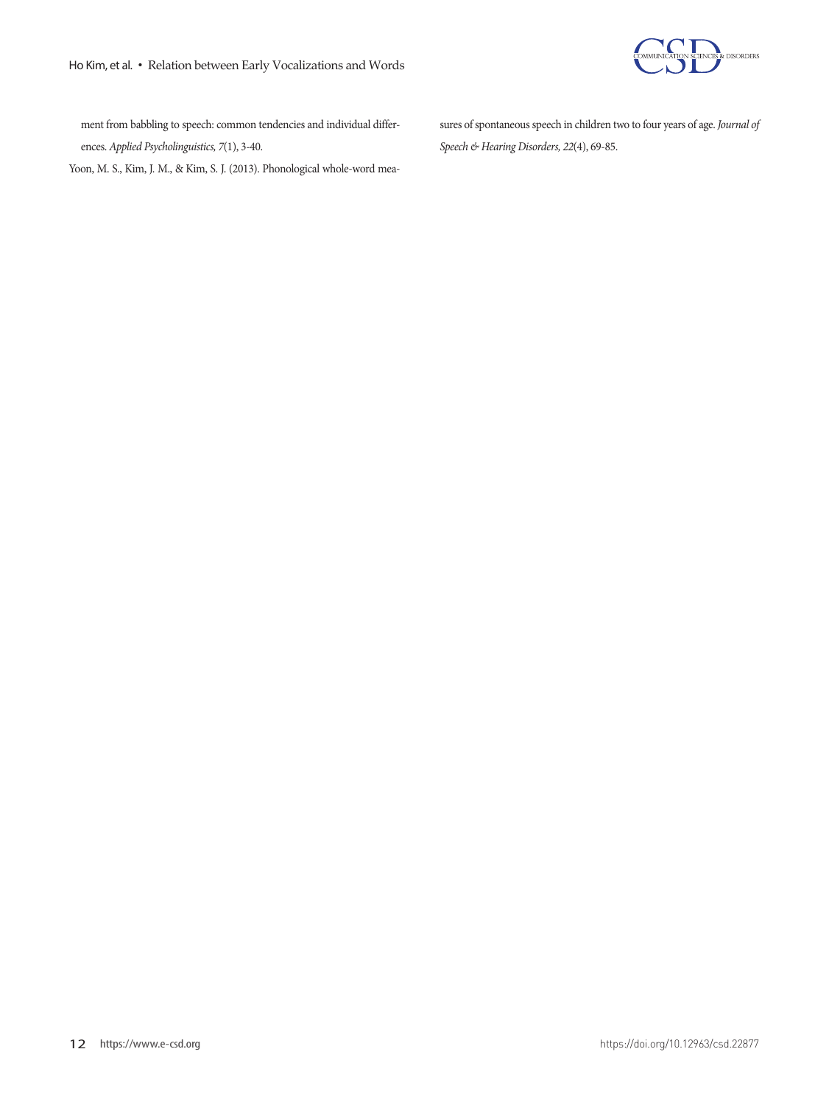

ment from babbling to speech: common tendencies and individual differences. *Applied Psycholinguistics, 7*(1), 3-40.

Yoon, M. S., Kim, J. M., & Kim, S. J. (2013). Phonological whole-word mea-

sures of spontaneous speech in children two to four years of age. *Journal of Speech & Hearing Disorders, 22*(4), 69-85.